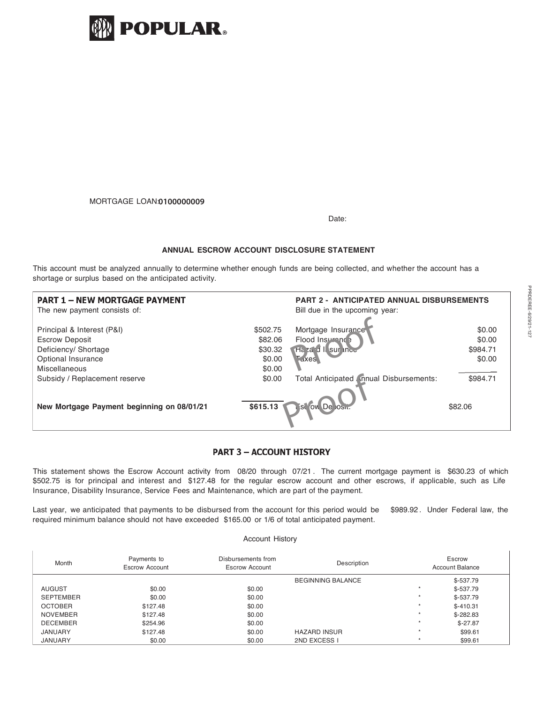

## MORTGAGE LOAN:**0702755117 0100000009**

Date:

## **ANNUAL ESCROW ACCOUNT DISCLOSURE STATEMENT**

This account must be analyzed annually to determine whether enough funds are being collected, and whether the account has a shortage or surplus based on the anticipated activity.

| <b>PART 1 - NEW MORTGAGE PAYMENT</b><br>The new payment consists of:                                               |                                                    | <b>PART 2 - ANTICIPATED ANNUAL DISBURSEMENTS</b><br>Bill due in the upcoming year: |                                        |  |
|--------------------------------------------------------------------------------------------------------------------|----------------------------------------------------|------------------------------------------------------------------------------------|----------------------------------------|--|
| Principal & Interest (P&I)<br><b>Escrow Deposit</b><br>Deficiency/ Shortage<br>Optional Insurance<br>Miscellaneous | \$502.75<br>\$82.06<br>\$30.32<br>\$0.00<br>\$0.00 | Mortgage Insurance<br>Flood Insurance<br>Ha za d Il sur inco<br><b>Laxes</b>       | \$0.00<br>\$0.00<br>\$984.71<br>\$0.00 |  |
| Subsidy / Replacement reserve                                                                                      | \$0.00                                             | Total Anticipated (mnual Disbursements:                                            | \$984.71                               |  |
| New Mortgage Payment beginning on 08/01/21                                                                         | \$615.13                                           | <b>Scrow De</b>                                                                    | \$82.06                                |  |

# **PART 3 - ACCOUNT HISTORY**

This statement shows the Escrow Account activity from 08/20 through 07/21 . The current mortgage payment is \$630.23 of which \$502.75 is for principal and interest and \$127.48 for the regular escrow account and other escrows, if applicable, such as Life Insurance, Disability Insurance, Service Fees and Maintenance, which are part of the payment.

Last year, we anticipated that payments to be disbursed from the account for this period would be \$989.92 . Under Federal law, the required minimum balance should not have exceeded \$165.00 or 1/6 of total anticipated payment.

#### Account History

| Month            | Payments to<br>Escrow Account | Disbursements from<br><b>Escrow Account</b> | Description              |         | Escrow<br>Account Balance |  |
|------------------|-------------------------------|---------------------------------------------|--------------------------|---------|---------------------------|--|
|                  |                               |                                             | <b>BEGINNING BALANCE</b> |         | $$-537.79$                |  |
| AUGUST           | \$0.00                        | \$0.00                                      |                          |         | $$-537.79$                |  |
| <b>SEPTEMBER</b> | \$0.00                        | \$0.00                                      |                          |         | $$-537.79$                |  |
| <b>OCTOBER</b>   | \$127.48                      | \$0.00                                      |                          |         | $$-410.31$                |  |
| NOVEMBER         | \$127.48                      | \$0.00                                      |                          |         | $$-282.83$                |  |
| <b>DECEMBER</b>  | \$254.96                      | \$0.00                                      |                          |         | $$-27.87$                 |  |
| <b>JANUARY</b>   | \$127.48                      | \$0.00                                      | <b>HAZARD INSUR</b>      |         | \$99.61                   |  |
| <b>JANUARY</b>   | \$0.00                        | \$0.00                                      | 2ND EXCESS I             | $\star$ | \$99.61                   |  |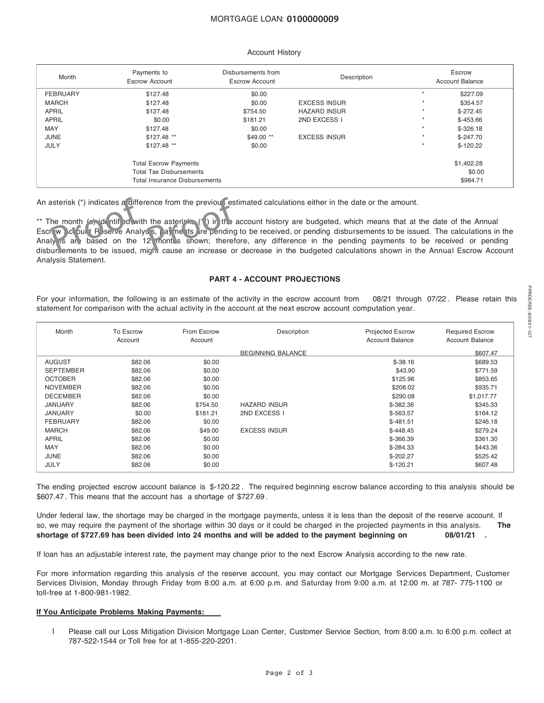## MORTGAGE LOAN: **0702755117 0100000009**

### Account History

| Month           | Payments to<br><b>Escrow Account</b>                                                                   | Disbursements from<br><b>Escrow Account</b> | Description         | Escrow<br><b>Account Balance</b> |                                  |
|-----------------|--------------------------------------------------------------------------------------------------------|---------------------------------------------|---------------------|----------------------------------|----------------------------------|
| <b>FEBRUARY</b> | \$127.48                                                                                               | \$0.00                                      |                     | $\star$                          | \$227.09                         |
| <b>MARCH</b>    | \$127.48                                                                                               | \$0.00                                      | <b>EXCESS INSUR</b> | $\star$                          | \$354.57                         |
| <b>APRIL</b>    | \$127.48                                                                                               | \$754.50                                    | <b>HAZARD INSUR</b> | $\star$                          | $$-272.45$                       |
| <b>APRIL</b>    | \$0.00                                                                                                 | \$181.21                                    | 2ND EXCESS I        | $\star$                          | $$-453.66$                       |
| MAY             | \$127.48                                                                                               | \$0.00                                      |                     | $\star$                          | $$-326.18$                       |
| JUNE            | \$127.48 **                                                                                            | \$49.00 **                                  | <b>EXCESS INSUR</b> | $\star$                          | $$-247.70$                       |
| <b>JULY</b>     | \$127.48 **                                                                                            | \$0.00                                      |                     | $\star$                          | $$-120.22$                       |
|                 | <b>Total Escrow Payments</b><br><b>Total Tax Disbursements</b><br><b>Total Insurance Disbursements</b> |                                             |                     |                                  | \$1,402.28<br>\$0.00<br>\$984.71 |

An asterisk (\*) indicates a difference from the previous estimated calculations either in the date or the amount.<br>
\*\* The month ( $\frac{1}{2}$ , identify and with the asteristic (\*) in the account history are budgeted, which m \*\* The month  $\sqrt{5}$  identified with the asterisks (\*) in the account history are budgeted, which means that at the date of the Annual Escrow Account Reserve Analysis, payments are pending to be received, or pending disbursements to be issued. The calculations in the Analy is are based on the 12 months shown; therefore, any difference in the pending payments to be received or pending disbursements to be issued, might cause an increase or decrease in the budgeted calculations shown in the Annual Escrow Account Analysis Statement.

### **PART 4 - ACCOUNT PROJECTIONS**

For your information, the following is an estimate of the activity in the escrow account from 08/21 through 07/22 . Please retain this statement for comparison with the actual activity in the account at the next escrow account computation year.

| Month            | To Escrow<br>Account | From Escrow<br>Account | Description              | <b>Projected Escrow</b><br>Account Balance | <b>Required Escrow</b><br>Account Balance |
|------------------|----------------------|------------------------|--------------------------|--------------------------------------------|-------------------------------------------|
|                  |                      |                        | <b>BEGINNING BALANCE</b> |                                            | \$607.47                                  |
| <b>AUGUST</b>    | \$82.06              | \$0.00                 |                          | $$-38.16$                                  | \$689.53                                  |
| <b>SEPTEMBER</b> | \$82.06              | \$0.00                 |                          | \$43.90                                    | \$771.59                                  |
| <b>OCTOBER</b>   | \$82.06              | \$0.00                 |                          | \$125.96                                   | \$853.65                                  |
| <b>NOVEMBER</b>  | \$82.06              | \$0.00                 |                          | \$208.02                                   | \$935.71                                  |
| <b>DECEMBER</b>  | \$82.06              | \$0.00                 |                          | \$290.08                                   | \$1,017.77                                |
| JANUARY          | \$82.06              | \$754.50               | <b>HAZARD INSUR</b>      | \$-382.36                                  | \$345.33                                  |
| JANUARY          | \$0.00               | \$181.21               | 2ND EXCESS I             | $$-563.57$                                 | \$164.12                                  |
| <b>FEBRUARY</b>  | \$82.06              | \$0.00                 |                          | $$-481.51$                                 | \$246.18                                  |
| <b>MARCH</b>     | \$82.06              | \$49.00                | <b>EXCESS INSUR</b>      | $$-448.45$                                 | \$279.24                                  |
| <b>APRIL</b>     | \$82.06              | \$0.00                 |                          | \$-366.39                                  | \$361.30                                  |
| <b>MAY</b>       | \$82.06              | \$0.00                 |                          | $$-284.33$                                 | \$443.36                                  |
| JUNE             | \$82.06              | \$0.00                 |                          | $$-202.27$                                 | \$525.42                                  |
| <b>JULY</b>      | \$82.06              | \$0.00                 |                          | $$-120.21$                                 | \$607.48                                  |

The ending projected escrow account balance is \$-120.22 . The required beginning escrow balance according to this analysis should be \$607.47 . This means that the account has a shortage of \$727.69 .

Under federal law, the shortage may be charged in the mortgage payments, unless it is less than the deposit of the reserve account. If so, we may require the payment of the shortage within 30 days or it could be charged in the projected payments in this analysis. **The** shortage of \$727.69 has been divided into 24 months and will be added to the payment beginning on 08/01/21.

If loan has an adjustable interest rate, the payment may change prior to the next Escrow Analysis according to the new rate.

For more information regarding this analysis of the reserve account, you may contact our Mortgage Services Department, Customer Services Division, Monday through Friday from 8:00 a.m. at 6:00 p.m. and Saturday from 9:00 a.m. at 12:00 m. at 787- 775-1100 or toll-free at 1-800-981-1982.

## **If You Anticipate Problems Making Payments:**

l Please call our Loss Mitigation Division Mortgage Loan Center, Customer Service Section, from 8:00 a.m. to 6:00 p.m. collect at 787-522-1544 or Toll free for at 1-855-220-2201.